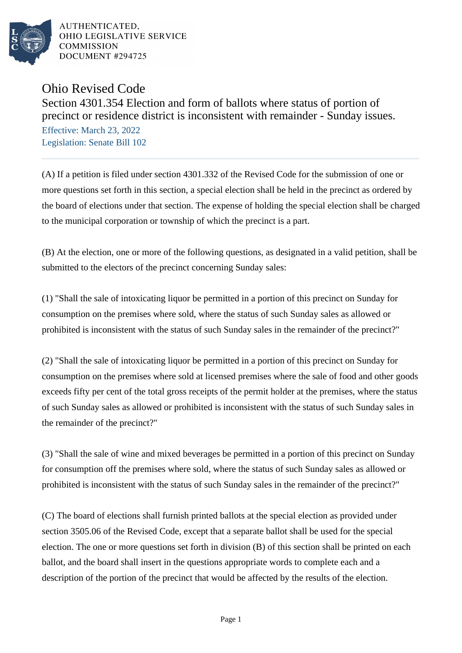

AUTHENTICATED. OHIO LEGISLATIVE SERVICE **COMMISSION** DOCUMENT #294725

## Ohio Revised Code

Section 4301.354 Election and form of ballots where status of portion of precinct or residence district is inconsistent with remainder - Sunday issues.

Effective: March 23, 2022 Legislation: Senate Bill 102

(A) If a petition is filed under section 4301.332 of the Revised Code for the submission of one or more questions set forth in this section, a special election shall be held in the precinct as ordered by the board of elections under that section. The expense of holding the special election shall be charged to the municipal corporation or township of which the precinct is a part.

(B) At the election, one or more of the following questions, as designated in a valid petition, shall be submitted to the electors of the precinct concerning Sunday sales:

(1) "Shall the sale of intoxicating liquor be permitted in a portion of this precinct on Sunday for consumption on the premises where sold, where the status of such Sunday sales as allowed or prohibited is inconsistent with the status of such Sunday sales in the remainder of the precinct?"

(2) "Shall the sale of intoxicating liquor be permitted in a portion of this precinct on Sunday for consumption on the premises where sold at licensed premises where the sale of food and other goods exceeds fifty per cent of the total gross receipts of the permit holder at the premises, where the status of such Sunday sales as allowed or prohibited is inconsistent with the status of such Sunday sales in the remainder of the precinct?"

(3) "Shall the sale of wine and mixed beverages be permitted in a portion of this precinct on Sunday for consumption off the premises where sold, where the status of such Sunday sales as allowed or prohibited is inconsistent with the status of such Sunday sales in the remainder of the precinct?"

(C) The board of elections shall furnish printed ballots at the special election as provided under section 3505.06 of the Revised Code, except that a separate ballot shall be used for the special election. The one or more questions set forth in division (B) of this section shall be printed on each ballot, and the board shall insert in the questions appropriate words to complete each and a description of the portion of the precinct that would be affected by the results of the election.